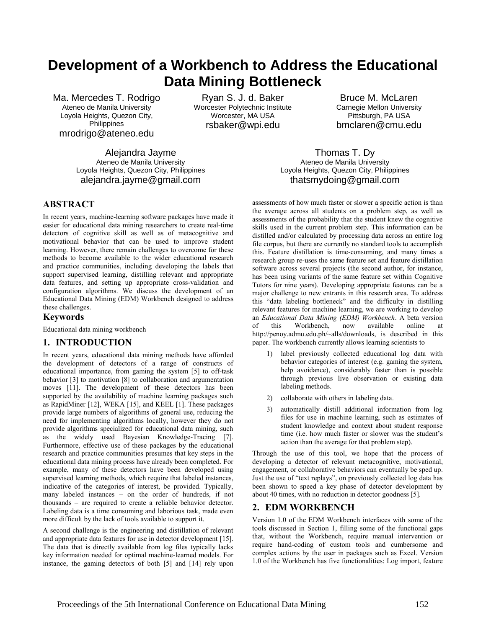# **Development of a Workbench to Address the Educational Data Mining Bottleneck**

Ma. Mercedes T. Rodrigo Ateneo de Manila University Loyola Heights, Quezon City, **Philippines** mrodrigo@ateneo.edu

Ryan S. J. d. Baker Worcester Polytechnic Institute Worcester, MA USA rsbaker@wpi.edu

Bruce M. McLaren Carnegie Mellon University Pittsburgh, PA USA bmclaren@cmu.edu

Alejandra Jayme Ateneo de Manila University Loyola Heights, Quezon City, Philippines alejandra.jayme@gmail.com

Thomas T. Dy Ateneo de Manila University Loyola Heights, Quezon City, Philippines thatsmydoing@gmail.com

## **ABSTRACT**

In recent years, machine-learning software packages have made it easier for educational data mining researchers to create real-time detectors of cognitive skill as well as of metacognitive and motivational behavior that can be used to improve student learning. However, there remain challenges to overcome for these methods to become available to the wider educational research and practice communities, including developing the labels that support supervised learning, distilling relevant and appropriate data features, and setting up appropriate cross-validation and configuration algorithms. We discuss the development of an Educational Data Mining (EDM) Workbench designed to address these challenges.

#### **Keywords**

Educational data mining workbench

#### **1. INTRODUCTION**

In recent years, educational data mining methods have afforded the development of detectors of a range of constructs of educational importance, from gaming the system [5] to off-task behavior [3] to motivation [8] to collaboration and argumentation moves [11]. The development of these detectors has been supported by the availability of machine learning packages such as RapidMiner [12], WEKA [15], and KEEL [1]. These packages provide large numbers of algorithms of general use, reducing the need for implementing algorithms locally, however they do not provide algorithms specialized for educational data mining, such as the widely used Bayesian Knowledge-Tracing [7]. Furthermore, effective use of these packages by the educational research and practice communities presumes that key steps in the educational data mining process have already been completed. For example, many of these detectors have been developed using supervised learning methods, which require that labeled instances, indicative of the categories of interest, be provided. Typically, many labeled instances – on the order of hundreds, if not thousands – are required to create a reliable behavior detector. Labeling data is a time consuming and laborious task, made even more difficult by the lack of tools available to support it.

A second challenge is the engineering and distillation of relevant and appropriate data features for use in detector development [15]. The data that is directly available from log files typically lacks key information needed for optimal machine-learned models. For instance, the gaming detectors of both [5] and [14] rely upon

assessments of how much faster or slower a specific action is than the average across all students on a problem step, as well as assessments of the probability that the student knew the cognitive skills used in the current problem step. This information can be distilled and/or calculated by processing data across an entire log file corpus, but there are currently no standard tools to accomplish this. Feature distillation is time-consuming, and many times a research group re-uses the same feature set and feature distillation software across several projects (the second author, for instance, has been using variants of the same feature set within Cognitive Tutors for nine years). Developing appropriate features can be a major challenge to new entrants in this research area. To address this "data labeling bottleneck" and the difficulty in distilling relevant features for machine learning, we are working to develop an *Educational Data Mining (EDM) Workbench*. A beta version of this Workbench, now available online at http://penoy.admu.edu.ph/~alls/downloads, is described in this paper. The workbench currently allows learning scientists to

- 1) label previously collected educational log data with behavior categories of interest (e.g. gaming the system, help avoidance), considerably faster than is possible through previous live observation or existing data labeling methods.
- 2) collaborate with others in labeling data.
- 3) automatically distill additional information from log files for use in machine learning, such as estimates of student knowledge and context about student response time (i.e. how much faster or slower was the student's action than the average for that problem step).

Through the use of this tool, we hope that the process of developing a detector of relevant metacognitive, motivational, engagement, or collaborative behaviors can eventually be sped up. Just the use of "text replays", on previously collected log data has been shown to speed a key phase of detector development by about 40 times, with no reduction in detector goodness [5].

#### **2. EDM WORKBENCH**

Version 1.0 of the EDM Workbench interfaces with some of the tools discussed in Section 1, filling some of the functional gaps that, without the Workbench, require manual intervention or require hand-coding of custom tools and cumbersome and complex actions by the user in packages such as Excel. Version 1.0 of the Workbench has five functionalities: Log import, feature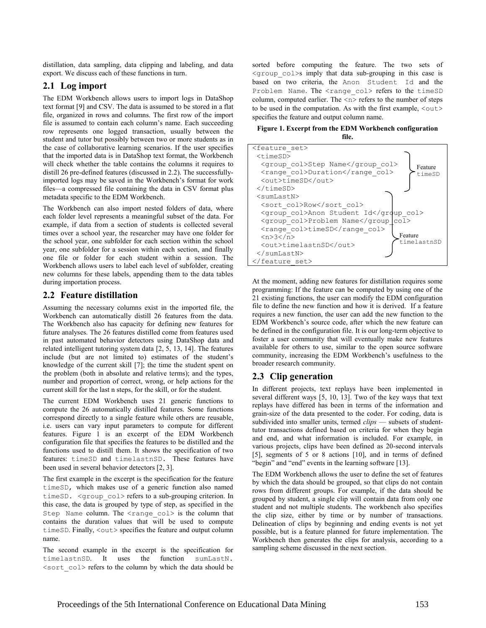distillation, data sampling, data clipping and labeling, and data export. We discuss each of these functions in turn.

### **2.1 Log import**

The EDM Workbench allows users to import logs in DataShop text format [9] and CSV. The data is assumed to be stored in a flat file, organized in rows and columns. The first row of the import file is assumed to contain each column's name. Each succeeding row represents one logged transaction, usually between the student and tutor but possibly between two or more students as in the case of collaborative learning scenarios. If the user specifies that the imported data is in DataShop text format, the Workbench will check whether the table contains the columns it requires to distill 26 pre-defined features (discussed in 2.2). The successfullyimported logs may be saved in the Workbench's format for work files—a compressed file containing the data in CSV format plus metadata specific to the EDM Workbench.

The Workbench can also import nested folders of data, where each folder level represents a meaningful subset of the data. For example, if data from a section of students is collected several times over a school year, the researcher may have one folder for the school year, one subfolder for each section within the school year, one subfolder for a session within each section, and finally one file or folder for each student within a session. The Workbench allows users to label each level of subfolder, creating new columns for these labels, appending them to the data tables during importation process.

## **2.2 Feature distillation**

Assuming the necessary columns exist in the imported file, the Workbench can automatically distill 26 features from the data. The Workbench also has capacity for defining new features for future analyses. The 26 features distilled come from features used in past automated behavior detectors using DataShop data and related intelligent tutoring system data [2, 5, 13, 14]. The features include (but are not limited to) estimates of the student's knowledge of the current skill [7]; the time the student spent on the problem (both in absolute and relative terms); and the types, number and proportion of correct, wrong, or help actions for the current skill for the last n steps, for the skill, or for the student.

The current EDM Workbench uses 21 generic functions to compute the 26 automatically distilled features. Some functions correspond directly to a single feature while others are reusable, i.e. users can vary input parameters to compute for different features. Figure 1 is an excerpt of the EDM Workbench configuration file that specifies the features to be distilled and the functions used to distill them. It shows the specification of two features: timeSD and timelastnSD. These features have been used in several behavior detectors [2, 3].

The first example in the excerpt is the specification for the feature timeSD, which makes use of a generic function also named timeSD. <group col> refers to a sub-grouping criterion. In this case, the data is grouped by type of step, as specified in the Step Name column. The  $\langle$ range col> is the column that contains the duration values that will be used to compute timeSD. Finally,  $\langle \text{out} \rangle$  specifies the feature and output column name.

The second example in the excerpt is the specification for timelastnSD. It uses the function sumLastN. <sort\_col> refers to the column by which the data should be

sorted before computing the feature. The two sets of <group\_col>s imply that data sub-grouping in this case is based on two criteria, the Anon Student Id and the Problem Name. The <range col> refers to the timeSD column, computed earlier. The  $\langle n \rangle$  refers to the number of steps to be used in the computation. As with the first example,  $\langle \text{out} \rangle$ specifies the feature and output column name.

**Figure 1. Excerpt from the EDM Workbench configuration file.** 

| <feature set=""></feature>                 |
|--------------------------------------------|
| $<$ timeSD $>$                             |
| <group col="">Step Name</group><br>Feature |
| <range col="">Duration</range><br>timeSD   |
| <out>timeSD</out>                          |
| $\langle$ /timeSD>                         |
| $<$ sumLastN $>$                           |
| <sort col="">Row</sort>                    |
| <group col="">Anon Student Id</group>      |
| <group col="">Problem Name</group>         |
| <range col="">timeSD</range>               |
| Feature<br>$3$ < /n>                       |
| timelastnSD<br><out>timelastnSD</out>      |
| $\langle$ /sumLastN $\rangle$              |
|                                            |

At the moment, adding new features for distillation requires some programming: If the feature can be computed by using one of the 21 existing functions, the user can modify the EDM configuration file to define the new function and how it is derived. If a feature requires a new function, the user can add the new function to the EDM Workbench's source code, after which the new feature can be defined in the configuration file. It is our long-term objective to foster a user community that will eventually make new features available for others to use, similar to the open source software community, increasing the EDM Workbench's usefulness to the broader research community.

#### **2.3 Clip generation**

In different projects, text replays have been implemented in several different ways [5, 10, 13]. Two of the key ways that text replays have differed has been in terms of the information and grain-size of the data presented to the coder. For coding, data is subdivided into smaller units, termed *clips* — subsets of studenttutor transactions defined based on criteria for when they begin and end, and what information is included. For example, in various projects, clips have been defined as 20-second intervals [5], segments of 5 or 8 actions [10], and in terms of defined "begin" and "end" events in the learning software [13].

The EDM Workbench allows the user to define the set of features by which the data should be grouped, so that clips do not contain rows from different groups. For example, if the data should be grouped by student, a single clip will contain data from only one student and not multiple students. The workbench also specifies the clip size, either by time or by number of transactions. Delineation of clips by beginning and ending events is not yet possible, but is a feature planned for future implementation. The Workbench then generates the clips for analysis, according to a sampling scheme discussed in the next section.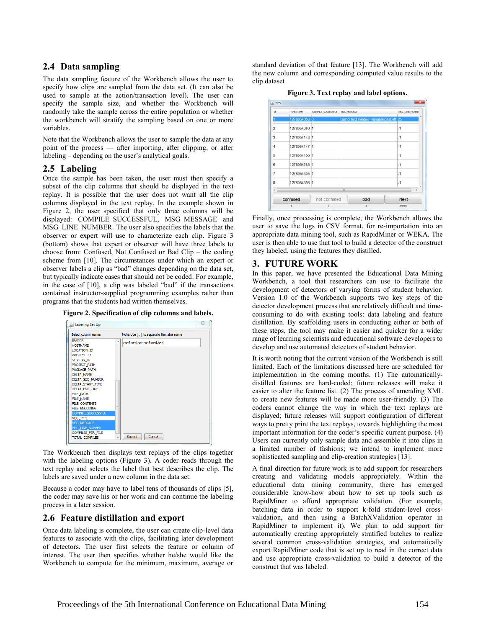## **2.4 Data sampling**

The data sampling feature of the Workbench allows the user to specify how clips are sampled from the data set. (It can also be used to sample at the action/transaction level). The user can specify the sample size, and whether the Workbench will randomly take the sample across the entire population or whether the workbench will stratify the sampling based on one or more variables.

Note that the Workbench allows the user to sample the data at any point of the process — after importing, after clipping, or after labeling – depending on the user's analytical goals.

#### **2.5 Labeling**

Once the sample has been taken, the user must then specify a subset of the clip columns that should be displayed in the text replay. It is possible that the user does not want all the clip columns displayed in the text replay. In the example shown in Figure 2, the user specified that only three columns will be displayed: COMPILE SUCCESSFUL, MSG MESSAGE and MSG\_LINE\_NUMBER. The user also specifies the labels that the observer or expert will use to characterize each clip. Figure 3 (bottom) shows that expert or observer will have three labels to choose from: Confused, Not Confused or Bad Clip – the coding scheme from [10]. The circumstances under which an expert or observer labels a clip as "bad" changes depending on the data set, but typically indicate cases that should not be coded. For example, in the case of [10], a clip was labeled "bad" if the transactions contained instructor-supplied programming examples rather than programs that the students had written themselves.



|                                                                                                                                                                                                                                                                                                                                                  |        |                             | Note:Use [, ] to separate the label name |  |
|--------------------------------------------------------------------------------------------------------------------------------------------------------------------------------------------------------------------------------------------------------------------------------------------------------------------------------------------------|--------|-----------------------------|------------------------------------------|--|
| <b>TPADDR</b><br><b>HOSTNAME</b><br><b>LOCATION ID</b><br>PROJECT ID<br><b>SESSION ID</b><br>PROJECT_PATH<br>PACKAGE PATH<br><b>DELTA NAME</b><br><b>DELTA SEO NUMBER</b><br>DELTA_START_TIME<br>DELTA END TIME<br><b>FILE PATH</b><br><b>FILE NAME</b><br><b>FILE_CONTENTS</b><br><b>FILE ENCODING</b><br><b>COMPILE SUCCESSFUL</b><br>MSG_TYPE | ▲<br>Ξ | confused, not confused, bad |                                          |  |

The Workbench then displays text replays of the clips together with the labeling options (Figure 3). A coder reads through the text replay and selects the label that best describes the clip. The labels are saved under a new column in the data set.

Because a coder may have to label tens of thousands of clips [5], the coder may save his or her work and can continue the labeling process in a later session.

## **2.6 Feature distillation and export**

Once data labeling is complete, the user can create clip-level data features to associate with the clips, facilitating later development of detectors. The user first selects the feature or column of interest. The user then specifies whether he/she would like the Workbench to compute for the minimum, maximum, average or

standard deviation of that feature [13]. The Workbench will add the new column and corresponding computed value results to the clip dataset

| Figure 3. Text replay and label options. |  |  |  |
|------------------------------------------|--|--|--|
|                                          |  |  |  |

| <b>id</b>  | <b>TIMESTAMP</b> | COMPILE SUCCESSFUL | MSG MESSAGE                               | MSG_LINE_NUMBEI |
|------------|------------------|--------------------|-------------------------------------------|-----------------|
|            | 1278054058 0     |                    | cannot find symbol - variable gast eft 25 |                 |
| 2          | 1278054080 1     |                    |                                           | $-1$            |
| a          | 1278054143 1     |                    |                                           | $\cdot$ 1       |
| 4          | 1278054147 1     |                    |                                           | $-1$            |
| 5          | 1278054150 1     |                    |                                           | $-1$            |
| 6          | 1278054283 1     |                    |                                           | $\cdot$ 1       |
| 7          | 1278054305 1     |                    |                                           | $-1$            |
| 8          | 1278054398 1     |                    |                                           | $-1$            |
| $\epsilon$ |                  |                    | ×                                         |                 |
| confused   |                  | not confused       | bad                                       | Next            |
|            |                  | 2                  | 3                                         | <b>ENTER</b>    |

Finally, once processing is complete, the Workbench allows the user to save the logs in CSV format, for re-importation into an appropriate data mining tool, such as RapidMiner or WEKA. The user is then able to use that tool to build a detector of the construct they labeled, using the features they distilled.

## **3. FUTURE WORK**

In this paper, we have presented the Educational Data Mining Workbench, a tool that researchers can use to facilitate the development of detectors of varying forms of student behavior. Version 1.0 of the Workbench supports two key steps of the detector development process that are relatively difficult and timeconsuming to do with existing tools: data labeling and feature distillation. By scaffolding users in conducting either or both of these steps, the tool may make it easier and quicker for a wider range of learning scientists and educational software developers to develop and use automated detectors of student behavior.

It is worth noting that the current version of the Workbench is still limited. Each of the limitations discussed here are scheduled for implementation in the coming months. (1) The automaticallydistilled features are hard-coded; future releases will make it easier to alter the feature list. (2) The process of amending XML to create new features will be made more user-friendly. (3) The coders cannot change the way in which the text replays are displayed; future releases will support configuration of different ways to pretty print the text replays, towards highlighting the most important information for the coder's specific current purpose. (4) Users can currently only sample data and assemble it into clips in a limited number of fashions; we intend to implement more sophisticated sampling and clip-creation strategies [13].

A final direction for future work is to add support for researchers creating and validating models appropriately. Within the educational data mining community, there has emerged considerable know-how about how to set up tools such as RapidMiner to afford appropriate validation. (For example, batching data in order to support k-fold student-level crossvalidation, and then using a BatchXValidation operator in RapidMiner to implement it). We plan to add support for automatically creating appropriately stratified batches to realize several common cross-validation strategies, and automatically export RapidMiner code that is set up to read in the correct data and use appropriate cross-validation to build a detector of the construct that was labeled.